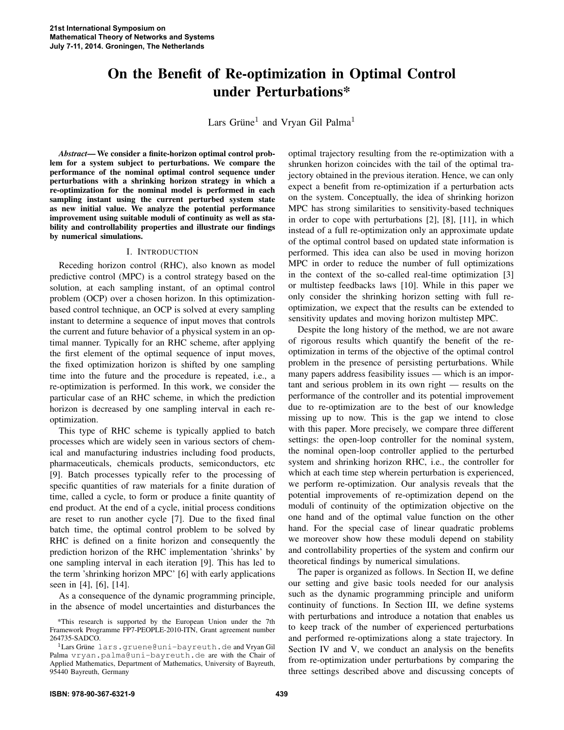# On the Benefit of Re-optimization in Optimal Control under Perturbations\*

Lars Grüne<sup>1</sup> and Vryan Gil Palma<sup>1</sup>

*Abstract*— We consider a finite-horizon optimal control problem for a system subject to perturbations. We compare the performance of the nominal optimal control sequence under perturbations with a shrinking horizon strategy in which a re-optimization for the nominal model is performed in each sampling instant using the current perturbed system state as new initial value. We analyze the potential performance improvement using suitable moduli of continuity as well as stability and controllability properties and illustrate our findings by numerical simulations.

## I. INTRODUCTION

Receding horizon control (RHC), also known as model predictive control (MPC) is a control strategy based on the solution, at each sampling instant, of an optimal control problem (OCP) over a chosen horizon. In this optimizationbased control technique, an OCP is solved at every sampling instant to determine a sequence of input moves that controls the current and future behavior of a physical system in an optimal manner. Typically for an RHC scheme, after applying the first element of the optimal sequence of input moves, the fixed optimization horizon is shifted by one sampling time into the future and the procedure is repeated, i.e., a re-optimization is performed. In this work, we consider the particular case of an RHC scheme, in which the prediction horizon is decreased by one sampling interval in each reoptimization.

This type of RHC scheme is typically applied to batch processes which are widely seen in various sectors of chemical and manufacturing industries including food products, pharmaceuticals, chemicals products, semiconductors, etc [9]. Batch processes typically refer to the processing of specific quantities of raw materials for a finite duration of time, called a cycle, to form or produce a finite quantity of end product. At the end of a cycle, initial process conditions are reset to run another cycle [7]. Due to the fixed final batch time, the optimal control problem to be solved by RHC is defined on a finite horizon and consequently the prediction horizon of the RHC implementation 'shrinks' by one sampling interval in each iteration [9]. This has led to the term 'shrinking horizon MPC' [6] with early applications seen in [4], [6], [14].

As a consequence of the dynamic programming principle, in the absence of model uncertainties and disturbances the optimal trajectory resulting from the re-optimization with a shrunken horizon coincides with the tail of the optimal trajectory obtained in the previous iteration. Hence, we can only expect a benefit from re-optimization if a perturbation acts on the system. Conceptually, the idea of shrinking horizon MPC has strong similarities to sensitivity-based techniques in order to cope with perturbations [2], [8], [11], in which instead of a full re-optimization only an approximate update of the optimal control based on updated state information is performed. This idea can also be used in moving horizon MPC in order to reduce the number of full optimizations in the context of the so-called real-time optimization [3] or multistep feedbacks laws [10]. While in this paper we only consider the shrinking horizon setting with full reoptimization, we expect that the results can be extended to sensitivity updates and moving horizon multistep MPC.

Despite the long history of the method, we are not aware of rigorous results which quantify the benefit of the reoptimization in terms of the objective of the optimal control problem in the presence of persisting perturbations. While many papers address feasibility issues — which is an important and serious problem in its own right — results on the performance of the controller and its potential improvement due to re-optimization are to the best of our knowledge missing up to now. This is the gap we intend to close with this paper. More precisely, we compare three different settings: the open-loop controller for the nominal system, the nominal open-loop controller applied to the perturbed system and shrinking horizon RHC, i.e., the controller for which at each time step wherein perturbation is experienced, we perform re-optimization. Our analysis reveals that the potential improvements of re-optimization depend on the moduli of continuity of the optimization objective on the one hand and of the optimal value function on the other hand. For the special case of linear quadratic problems we moreover show how these moduli depend on stability and controllability properties of the system and confirm our theoretical findings by numerical simulations.

The paper is organized as follows. In Section II, we define our setting and give basic tools needed for our analysis such as the dynamic programming principle and uniform continuity of functions. In Section III, we define systems with perturbations and introduce a notation that enables us to keep track of the number of experienced perturbations and performed re-optimizations along a state trajectory. In Section IV and V, we conduct an analysis on the benefits from re-optimization under perturbations by comparing the three settings described above and discussing concepts of

<sup>\*</sup>This research is supported by the European Union under the 7th Framework Programme FP7-PEOPLE-2010-ITN, Grant agreement number 264735-SADCO.

<sup>&</sup>lt;sup>1</sup>Lars Grüne lars.gruene@uni-bayreuth.de and Vryan Gil Palma vryan.palma@uni-bayreuth.de are with the Chair of Applied Mathematics, Department of Mathematics, University of Bayreuth, 95440 Bayreuth, Germany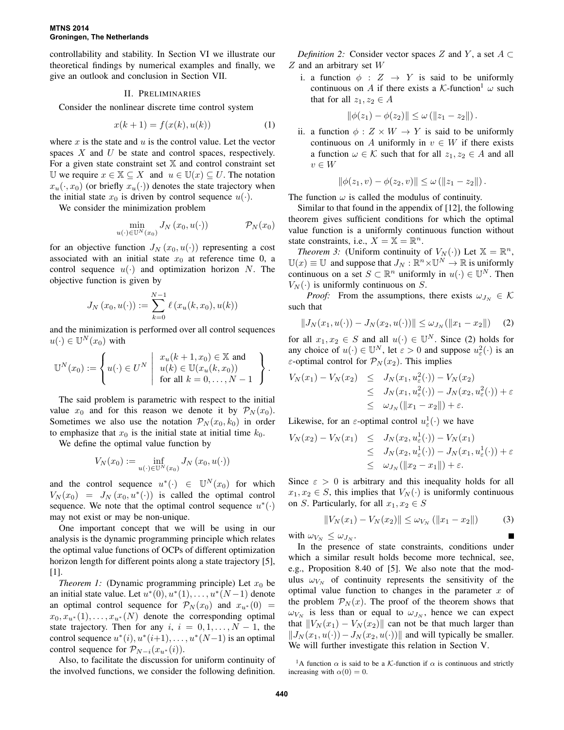controllability and stability. In Section VI we illustrate our theoretical findings by numerical examples and finally, we give an outlook and conclusion in Section VII.

### II. PRELIMINARIES

Consider the nonlinear discrete time control system

$$
x(k+1) = f(x(k), u(k))
$$
 (1)

where  $x$  is the state and  $u$  is the control value. Let the vector spaces  $X$  and  $U$  be state and control spaces, respectively. For a given state constraint set  $X$  and control constraint set U we require  $x \in \mathbb{X} \subseteq X$  and  $u \in \mathbb{U}(x) \subseteq U$ . The notation  $x_u(\cdot, x_0)$  (or briefly  $x_u(\cdot)$ ) denotes the state trajectory when the initial state  $x_0$  is driven by control sequence  $u(\cdot)$ .

We consider the minimization problem

$$
\min_{u(\cdot) \in \mathbb{U}^N(x_0)} J_N(x_0, u(\cdot)) \qquad \mathcal{P}_N(x_0)
$$

for an objective function  $J_N(x_0, u(\cdot))$  representing a cost associated with an initial state  $x_0$  at reference time 0, a control sequence  $u(\cdot)$  and optimization horizon N. The objective function is given by

$$
J_N(x_0, u(\cdot)) := \sum_{k=0}^{N-1} \ell(x_u(k, x_0), u(k))
$$

and the minimization is performed over all control sequences  $u(\cdot) \in \mathbb{U}^N(x_0)$  with

$$
\mathbb{U}^N(x_0) := \left\{ u(\cdot) \in U^N \mid \begin{array}{l} x_u(k+1, x_0) \in \mathbb{X} \text{ and} \\ u(k) \in \mathbb{U}(x_u(k, x_0)) \\ \text{for all } k = 0, \ldots, N-1 \end{array} \right\}.
$$

The said problem is parametric with respect to the initial value  $x_0$  and for this reason we denote it by  $\mathcal{P}_N(x_0)$ . Sometimes we also use the notation  $\mathcal{P}_N(x_0, k_0)$  in order to emphasize that  $x_0$  is the initial state at initial time  $k_0$ .

We define the optimal value function by

$$
V_N(x_0) := \inf_{u(\cdot) \in \mathbb{U}^N(x_0)} J_N(x_0, u(\cdot))
$$

and the control sequence  $u^*(\cdot) \in \mathbb{U}^N(x_0)$  for which  $V_N(x_0) = J_N(x_0, u^*(\cdot))$  is called the optimal control sequence. We note that the optimal control sequence  $u^*(\cdot)$ may not exist or may be non-unique.

One important concept that we will be using in our analysis is the dynamic programming principle which relates the optimal value functions of OCPs of different optimization horizon length for different points along a state trajectory [5], [1].

*Theorem 1:* (Dynamic programming principle) Let  $x_0$  be an initial state value. Let  $u^*(0)$ ,  $u^*(1)$ , ...,  $u^*(N-1)$  denote an optimal control sequence for  $\mathcal{P}_N(x_0)$  and  $x_{u*}(0)$  =  $x_0, x_{u^*}(1), \ldots, x_{u^*}(N)$  denote the corresponding optimal state trajectory. Then for any  $i, i = 0, 1, \ldots, N - 1$ , the control sequence  $u^*(i)$ ,  $u^*(i+1)$ , ...,  $u^*(N-1)$  is an optimal control sequence for  $\mathcal{P}_{N-i}(x_{u^*}(i))$ .

Also, to facilitate the discussion for uniform continuity of the involved functions, we consider the following definition.

*Definition 2:* Consider vector spaces Z and Y, a set  $A \subset$  $Z$  and an arbitrary set  $W$ 

i. a function  $\phi : Z \rightarrow Y$  is said to be uniformly continuous on A if there exists a K-function<sup>1</sup>  $\omega$  such that for all  $z_1, z_2 \in A$ 

$$
\|\phi(z_1)-\phi(z_2)\| \le \omega \left(\|z_1-z_2\|\right).
$$

ii. a function  $\phi : Z \times W \to Y$  is said to be uniformly continuous on A uniformly in  $v \in W$  if there exists a function  $\omega \in \mathcal{K}$  such that for all  $z_1, z_2 \in A$  and all  $v \in W$ 

$$
\|\phi(z_1,v) - \phi(z_2,v)\| \le \omega (\|z_1 - z_2\|).
$$

The function  $\omega$  is called the modulus of continuity.

Similar to that found in the appendix of [12], the following theorem gives sufficient conditions for which the optimal value function is a uniformly continuous function without state constraints, i.e.,  $X = \mathbb{X} = \mathbb{R}^n$ .

*Theorem 3:* (Uniform continuity of  $V_N(\cdot)$ ) Let  $\mathbb{X} = \mathbb{R}^n$ ,  $\mathbb{U}(x) \equiv \mathbb{U}$  and suppose that  $J_N : \mathbb{R}^n \times \mathbb{U}^N \to \mathbb{R}$  is uniformly continuous on a set  $S \subset \mathbb{R}^n$  uniformly in  $u(\cdot) \in \mathbb{U}^N$ . Then  $V_N(\cdot)$  is uniformly continuous on S.

*Proof:* From the assumptions, there exists  $\omega_{J_N} \in \mathcal{K}$ such that

$$
||J_N(x_1, u(\cdot)) - J_N(x_2, u(\cdot))|| \le \omega_{J_N}(||x_1 - x_2||)
$$
 (2)

for all  $x_1, x_2 \in S$  and all  $u(\cdot) \in \mathbb{U}^N$ . Since (2) holds for any choice of  $u(\cdot) \in \mathbb{U}^N$ , let  $\varepsilon > 0$  and suppose  $u_\varepsilon^2(\cdot)$  is an ε-optimal control for  $P_N(x_2)$ . This implies

$$
V_N(x_1) - V_N(x_2) \leq J_N(x_1, u_{\varepsilon}^2(\cdot)) - V_N(x_2)
$$
  
\n
$$
\leq J_N(x_1, u_{\varepsilon}^2(\cdot)) - J_N(x_2, u_{\varepsilon}^2(\cdot)) + \varepsilon
$$
  
\n
$$
\leq \omega_{J_N}(\|x_1 - x_2\|) + \varepsilon.
$$

Likewise, for an  $\varepsilon$ -optimal control  $u_{\varepsilon}^1(\cdot)$  we have

$$
V_N(x_2) - V_N(x_1) \leq J_N(x_2, u_{\varepsilon}^1(\cdot)) - V_N(x_1)
$$
  
\n
$$
\leq J_N(x_2, u_{\varepsilon}^1(\cdot)) - J_N(x_1, u_{\varepsilon}^1(\cdot)) + \varepsilon
$$
  
\n
$$
\leq \omega_{J_N}(\|x_2 - x_1\|) + \varepsilon.
$$

Since  $\varepsilon > 0$  is arbitrary and this inequality holds for all  $x_1, x_2 \in S$ , this implies that  $V_N(\cdot)$  is uniformly continuous on S. Particularly, for all  $x_1, x_2 \in S$ 

$$
||V_N(x_1) - V_N(x_2)|| \le \omega_{V_N} (||x_1 - x_2||)
$$
 (3)

with  $\omega_{V_N} \leq \omega_{J_N}$ .

In the presence of state constraints, conditions under which a similar result holds become more technical, see, e.g., Proposition 8.40 of [5]. We also note that the modulus  $\omega_{V_N}$  of continuity represents the sensitivity of the optimal value function to changes in the parameter  $x$  of the problem  $\mathcal{P}_N(x)$ . The proof of the theorem shows that  $\omega_{V_N}$  is less than or equal to  $\omega_{J_N}$ , hence we can expect that  $||V_N(x_1) - V_N(x_2)||$  can not be that much larger than  $||J_N(x_1, u(\cdot)) - J_N(x_2, u(\cdot))||$  and will typically be smaller. We will further investigate this relation in Section V.

<sup>1</sup>A function  $\alpha$  is said to be a K-function if  $\alpha$  is continuous and strictly increasing with  $\alpha(0) = 0$ .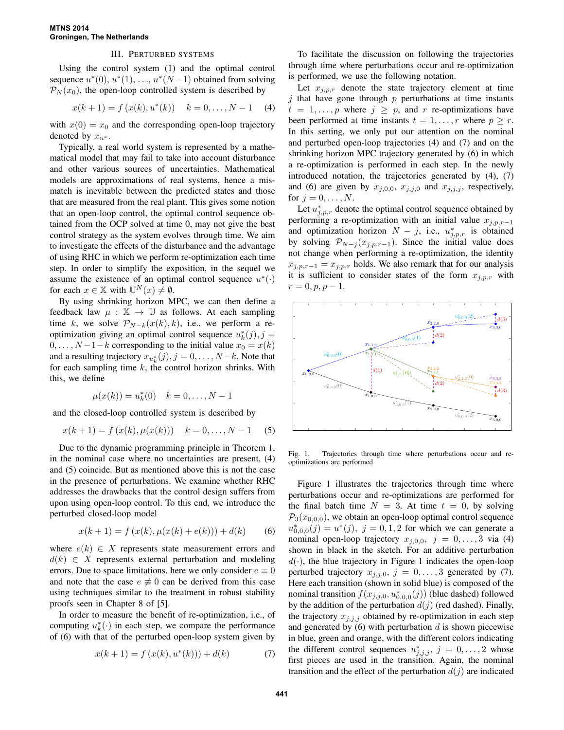# III. PERTURBED SYSTEMS

Using the control system (1) and the optimal control sequence  $u^*(0)$ ,  $u^*(1)$ , ...,  $u^*(N-1)$  obtained from solving  $\mathcal{P}_N(x_0)$ , the open-loop controlled system is described by

$$
x(k + 1) = f(x(k), u^*(k)) \quad k = 0, ..., N - 1 \quad (4)
$$

with  $x(0) = x_0$  and the corresponding open-loop trajectory denoted by  $x_{u^*}$ .

Typically, a real world system is represented by a mathematical model that may fail to take into account disturbance and other various sources of uncertainties. Mathematical models are approximations of real systems, hence a mismatch is inevitable between the predicted states and those that are measured from the real plant. This gives some notion that an open-loop control, the optimal control sequence obtained from the OCP solved at time 0, may not give the best control strategy as the system evolves through time. We aim to investigate the effects of the disturbance and the advantage of using RHC in which we perform re-optimization each time step. In order to simplify the exposition, in the sequel we assume the existence of an optimal control sequence  $u^*(\cdot)$ for each  $x \in \mathbb{X}$  with  $\mathbb{U}^N(x) \neq \emptyset$ .

By using shrinking horizon MPC, we can then define a feedback law  $\mu : \mathbb{X} \to \mathbb{U}$  as follows. At each sampling time k, we solve  $\mathcal{P}_{N-k}(x(k), k)$ , i.e., we perform a reoptimization giving an optimal control sequence  $u_k^*(j)$ ,  $j =$  $0, \ldots, N-1-k$  corresponding to the initial value  $x_0 = x(k)$ and a resulting trajectory  $x_{u_k^*}(j)$ ,  $j = 0, \ldots, N-k$ . Note that for each sampling time  $k$ , the control horizon shrinks. With this, we define

$$
\mu(x(k)) = u_k^*(0) \quad k = 0, \dots, N-1
$$

and the closed-loop controlled system is described by

$$
x(k + 1) = f(x(k), \mu(x(k))) \quad k = 0, ..., N - 1 \quad (5)
$$

Due to the dynamic programming principle in Theorem 1, in the nominal case where no uncertainties are present, (4) and (5) coincide. But as mentioned above this is not the case in the presence of perturbations. We examine whether RHC addresses the drawbacks that the control design suffers from upon using open-loop control. To this end, we introduce the perturbed closed-loop model

$$
x(k+1) = f(x(k), \mu(x(k) + e(k))) + d(k)
$$
 (6)

where  $e(k) \in X$  represents state measurement errors and  $d(k) \in X$  represents external perturbation and modeling errors. Due to space limitations, here we only consider  $e \equiv 0$ and note that the case  $e \neq 0$  can be derived from this case using techniques similar to the treatment in robust stability proofs seen in Chapter 8 of [5].

In order to measure the benefit of re-optimization, i.e., of computing  $u_k^*(\cdot)$  in each step, we compare the performance of (6) with that of the perturbed open-loop system given by

$$
x(k+1) = f(x(k), u^*(k))) + d(k)
$$
 (7)

To facilitate the discussion on following the trajectories through time where perturbations occur and re-optimization is performed, we use the following notation.

Let  $x_{j,p,r}$  denote the state trajectory element at time j that have gone through  $p$  perturbations at time instants  $t = 1, \ldots, p$  where  $j \geq p$ , and r re-optimizations have been performed at time instants  $t = 1, \ldots, r$  where  $p \geq r$ . In this setting, we only put our attention on the nominal and perturbed open-loop trajectories (4) and (7) and on the shrinking horizon MPC trajectory generated by (6) in which a re-optimization is performed in each step. In the newly introduced notation, the trajectories generated by (4), (7) and (6) are given by  $x_{j,0,0}$ ,  $x_{j,j,0}$  and  $x_{j,j,j}$ , respectively, for  $j = 0, \ldots, N$ .

Let  $u_{j,p,r}^*$  denote the optimal control sequence obtained by performing a re-optimization with an initial value  $x_{j,p,r-1}$ and optimization horizon  $N - j$ , i.e.,  $u_{j,p,r}^*$  is obtained by solving  $\mathcal{P}_{N-j}(x_{j,p,r-1})$ . Since the initial value does not change when performing a re-optimization, the identity  $x_{j,p,r-1} = x_{j,p,r}$  holds. We also remark that for our analysis it is sufficient to consider states of the form  $x_{j,p,r}$  with  $r = 0, p, p - 1.$ 



Fig. 1. Trajectories through time where perturbations occur and reoptimizations are performed

Figure 1 illustrates the trajectories through time where perturbations occur and re-optimizations are performed for the final batch time  $N = 3$ . At time  $t = 0$ , by solving  $P_3(x_{0,0,0})$ , we obtain an open-loop optimal control sequence  $u_{0,0,0}^{*}(j) = u^{*}(j), j = 0,1,2$  for which we can generate a nominal open-loop trajectory  $x_{i,0,0}$ ,  $j = 0, \ldots, 3$  via (4) shown in black in the sketch. For an additive perturbation  $d(\cdot)$ , the blue trajectory in Figure 1 indicates the open-loop perturbed trajectory  $x_{j,j,0}$ ,  $j = 0, \ldots, 3$  generated by (7). Here each transition (shown in solid blue) is composed of the nominal transition  $f(x_{j,j,0}, u_{0,0,0}^*(j))$  (blue dashed) followed by the addition of the perturbation  $d(j)$  (red dashed). Finally, the trajectory  $x_{j,j,j}$  obtained by re-optimization in each step and generated by  $(6)$  with perturbation d is shown piecewise in blue, green and orange, with the different colors indicating the different control sequences  $u_{j,j,j}^*$ ,  $j = 0, \ldots, 2$  whose first pieces are used in the transition. Again, the nominal transition and the effect of the perturbation  $d(j)$  are indicated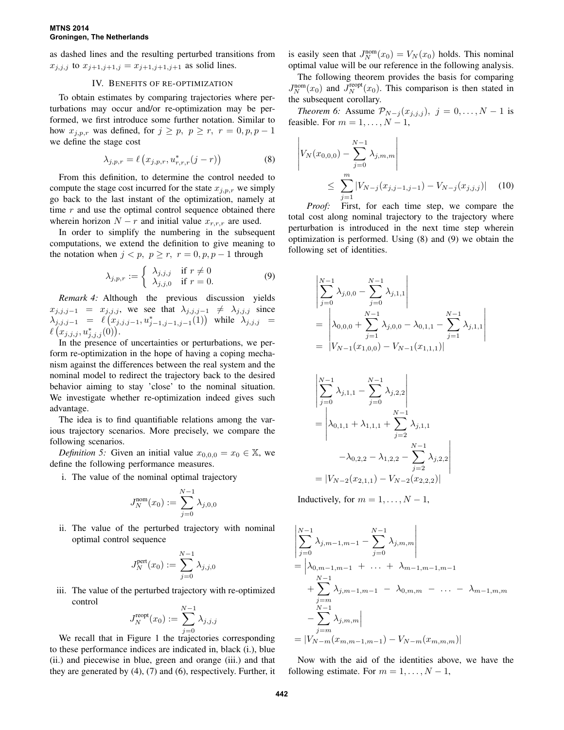#### **MTNS 2014 Groningen, The Netherlands**

as dashed lines and the resulting perturbed transitions from  $x_{j,j,j}$  to  $x_{j+1,j+1,j} = x_{j+1,j+1,j+1}$  as solid lines.

## IV. BENEFITS OF RE-OPTIMIZATION

To obtain estimates by comparing trajectories where perturbations may occur and/or re-optimization may be performed, we first introduce some further notation. Similar to how  $x_{i,p,r}$  was defined, for  $j \geq p$ ,  $p \geq r$ ,  $r = 0, p, p - 1$ we define the stage cost

$$
\lambda_{j,p,r} = \ell\left(x_{j,p,r}, u_{r,r,r}^*(j-r)\right) \tag{8}
$$

From this definition, to determine the control needed to compute the stage cost incurred for the state  $x_{i,p,r}$  we simply go back to the last instant of the optimization, namely at time  $r$  and use the optimal control sequence obtained there wherein horizon  $N - r$  and initial value  $x_{r,r,r}$  are used.

In order to simplify the numbering in the subsequent computations, we extend the definition to give meaning to the notation when  $j < p$ ,  $p \ge r$ ,  $r = 0, p, p - 1$  through

$$
\lambda_{j,p,r} := \begin{cases} \lambda_{j,j,j} & \text{if } r \neq 0 \\ \lambda_{j,j,0} & \text{if } r = 0. \end{cases}
$$
 (9)

*Remark 4:* Although the previous discussion yields  $x_{j,j,j-1} = x_{j,j,j}$ , we see that  $\lambda_{j,j,j-1} \neq \lambda_{j,j,j}$  since  $\lambda_{j,j,j-1} = \ell(x_{j,j,j-1}, u_{j-1,j-1,j-1}^*(1))$  while  $\lambda_{j,j,j} =$  $\ell\left(x_{j,j,j},u_{j,j,j}^*(0)\right)$ .

In the presence of uncertainties or perturbations, we perform re-optimization in the hope of having a coping mechanism against the differences between the real system and the nominal model to redirect the trajectory back to the desired behavior aiming to stay 'close' to the nominal situation. We investigate whether re-optimization indeed gives such advantage.

The idea is to find quantifiable relations among the various trajectory scenarios. More precisely, we compare the following scenarios.

*Definition 5:* Given an initial value  $x_{0,0,0} = x_0 \in \mathbb{X}$ , we define the following performance measures.

i. The value of the nominal optimal trajectory

$$
J_N^{\text{nom}}(x_0) := \sum_{j=0}^{N-1} \lambda_{j,0,0}
$$

ii. The value of the perturbed trajectory with nominal optimal control sequence

$$
J_N^{\text{pert}}(x_0) := \sum_{j=0}^{N-1} \lambda_{j,j,0}
$$

iii. The value of the perturbed trajectory with re-optimized control

$$
J_N^{\text{reopt}}(x_0) := \sum_{j=0}^{N-1} \lambda_{j,j,j}
$$

We recall that in Figure 1 the trajectories corresponding to these performance indices are indicated in, black (i.), blue (ii.) and piecewise in blue, green and orange (iii.) and that they are generated by (4), (7) and (6), respectively. Further, it

is easily seen that  $J_N^{\text{nom}}(x_0) = V_N(x_0)$  holds. This nominal optimal value will be our reference in the following analysis.

The following theorem provides the basis for comparing  $J_N^{\text{nom}}(x_0)$  and  $\bar{J}_N^{\text{reopt}}(x_0)$ . This comparison is then stated in the subsequent corollary.

*Theorem 6:* Assume  $\mathcal{P}_{N-j}(x_{j,j,j}), j = 0, \ldots, N-1$  is feasible. For  $m = 1, \ldots, N - 1$ ,

$$
\left| V_N(x_{0,0,0}) - \sum_{j=0}^{N-1} \lambda_{j,m,m} \right|
$$
  
 
$$
\leq \sum_{j=1}^m |V_{N-j}(x_{j,j-1,j-1}) - V_{N-j}(x_{j,j,j})| \quad (10)
$$

*Proof:* First, for each time step, we compare the total cost along nominal trajectory to the trajectory where perturbation is introduced in the next time step wherein optimization is performed. Using (8) and (9) we obtain the following set of identities.

$$
\begin{aligned}\n&\left|\sum_{j=0}^{N-1} \lambda_{j,0,0} - \sum_{j=0}^{N-1} \lambda_{j,1,1}\right| \\
&= \left|\lambda_{0,0,0} + \sum_{j=1}^{N-1} \lambda_{j,0,0} - \lambda_{0,1,1} - \sum_{j=1}^{N-1} \lambda_{j,1,1}\right| \\
&= |V_{N-1}(x_{1,0,0}) - V_{N-1}(x_{1,1,1})|\n\end{aligned}
$$

$$
\begin{aligned}\n&\left| \sum_{j=0}^{N-1} \lambda_{j,1,1} - \sum_{j=0}^{N-1} \lambda_{j,2,2} \right| \\
&= \left| \lambda_{0,1,1} + \lambda_{1,1,1} + \sum_{j=2}^{N-1} \lambda_{j,1,1} - \lambda_{0,2,2} - \lambda_{1,2,2} - \sum_{j=2}^{N-1} \lambda_{j,2,2} \right| \\
&= |V_{N-2}(x_{2,1,1}) - V_{N-2}(x_{2,2,2})| \n\end{aligned}
$$

Inductively, for  $m = 1, \ldots, N - 1$ ,

$$
\begin{aligned}\n&\left|\sum_{j=0}^{N-1} \lambda_{j,m-1,m-1} - \sum_{j=0}^{N-1} \lambda_{j,m,m}\right| \\
&= \left|\lambda_{0,m-1,m-1} + \ldots + \lambda_{m-1,m-1,m-1} + \sum_{j=m}^{N-1} \lambda_{j,m-1,m-1} - \lambda_{0,m,m} - \ldots - \lambda_{m-1,m,m} - \sum_{j=m}^{N-1} \lambda_{j,m,m}\right| \\
&= |V_{N-m}(x_{m,m-1,m-1}) - V_{N-m}(x_{m,m,m})|\n\end{aligned}
$$

Now with the aid of the identities above, we have the following estimate. For  $m = 1, \ldots, N - 1$ ,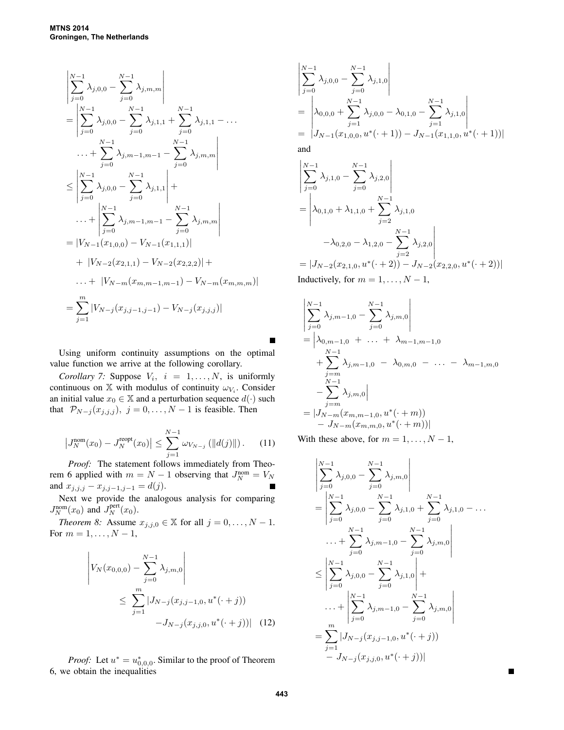$$
\begin{aligned}\n&\left|\sum_{j=0}^{N-1} \lambda_{j,0,0} - \sum_{j=0}^{N-1} \lambda_{j,m,m}\right| \\
&= \left|\sum_{j=0}^{N-1} \lambda_{j,0,0} - \sum_{j=0}^{N-1} \lambda_{j,1,1} + \sum_{j=0}^{N-1} \lambda_{j,1,1} - \dots \\
&\dots + \sum_{j=0}^{N-1} \lambda_{j,m-1,m-1} - \sum_{j=0}^{N-1} \lambda_{j,m,m}\right| \\
&\leq \left|\sum_{j=0}^{N-1} \lambda_{j,0,0} - \sum_{j=0}^{N-1} \lambda_{j,1,1}\right| + \dots + \left|\sum_{j=0}^{N-1} \lambda_{j,m-1,m-1} - \sum_{j=0}^{N-1} \lambda_{j,m,m}\right| \\
&= |V_{N-1}(x_{1,0,0}) - V_{N-1}(x_{1,1,1})| \\
&+ |V_{N-2}(x_{2,1,1}) - V_{N-2}(x_{2,2,2})| + \dots + |V_{N-m}(x_{m,m-1,m-1}) - V_{N-m}(x_{m,m,m})| \\
&= \sum_{j=1}^{m} |V_{N-j}(x_{j,j-1,j-1}) - V_{N-j}(x_{j,j,j})|\n\end{aligned}
$$

Using uniform continuity assumptions on the optimal value function we arrive at the following corollary.

*Corollary 7:* Suppose  $V_i$ ,  $i = 1, ..., N$ , is uniformly continuous on  $X$  with modulus of continuity  $\omega_{V_i}$ . Consider an initial value  $x_0 \in \mathbb{X}$  and a perturbation sequence  $d(\cdot)$  such that  $\mathcal{P}_{N-j}(x_{j,j,j}), j = 0, \ldots, N-1$  is feasible. Then

$$
\left|J_N^{\text{nom}}(x_0) - J_N^{\text{reopt}}(x_0)\right| \le \sum_{j=1}^{N-1} \omega_{V_{N-j}}\left(\|d(j)\|\right). \tag{11}
$$

*Proof:* The statement follows immediately from Theorem 6 applied with  $m = N - 1$  observing that  $J_N^{\text{nom}} = V_N$ and  $x_{j,j,j} - x_{j,j-1,j-1} = d(j)$ .

Next we provide the analogous analysis for comparing  $J_N^{\text{nom}}(x_0)$  and  $J_N^{\text{pert}}(x_0)$ .

*Theorem 8:* Assume  $x_{j,j,0} \in \mathbb{X}$  for all  $j = 0, \ldots, N - 1$ . For  $m = 1, ..., N - 1$ ,

$$
\left| V_N(x_{0,0,0}) - \sum_{j=0}^{N-1} \lambda_{j,m,0} \right|
$$
  
 
$$
\leq \sum_{j=1}^m |J_{N-j}(x_{j,j-1,0}, u^*(\cdot + j)) - J_{N-j}(x_{j,j,0}, u^*(\cdot + j))| \quad (12)
$$

*Proof:* Let  $u^* = u_{0,0,0}^*$ . Similar to the proof of Theorem 6, we obtain the inequalities

$$
\begin{aligned}\n&\left|\sum_{j=0}^{N-1} \lambda_{j,0,0} - \sum_{j=0}^{N-1} \lambda_{j,1,0}\right| \\
&= \left|\lambda_{0,0,0} + \sum_{j=1}^{N-1} \lambda_{j,0,0} - \lambda_{0,1,0} - \sum_{j=1}^{N-1} \lambda_{j,1,0}\right| \\
&= |J_{N-1}(x_{1,0,0}, u^*(\cdot + 1)) - J_{N-1}(x_{1,1,0}, u^*(\cdot + 1))| \\
&\text{and}\n\end{aligned}
$$

$$
\begin{aligned}\n&\left|\sum_{j=0}^{N-1} \lambda_{j,1,0} - \sum_{j=0}^{N-1} \lambda_{j,2,0}\right| \\
&= \left|\lambda_{0,1,0} + \lambda_{1,1,0} + \sum_{j=2}^{N-1} \lambda_{j,1,0} -\lambda_{0,2,0} - \lambda_{1,2,0} - \sum_{j=2}^{N-1} \lambda_{j,2,0}\right| \\
&= |J_{N-2}(x_{2,1,0}, u^*(\cdot + 2)) - J_{N-2}(x_{2,2,0}, u^*(\cdot + 2))| \n\end{aligned}
$$

Inductively, for  $m = 1, \ldots, N - 1$ ,

$$
\begin{aligned}\n&\left|\sum_{j=0}^{N-1} \lambda_{j,m-1,0} - \sum_{j=0}^{N-1} \lambda_{j,m,0}\right| \\
&= \left|\lambda_{0,m-1,0} + \ldots + \lambda_{m-1,m-1,0} + \sum_{j=m}^{N-1} \lambda_{j,m-1,0} - \lambda_{0,m,0} - \ldots - \lambda_{m-1,m,0} - \sum_{j=m}^{N-1} \lambda_{j,m,0}\right| \\
&= |J_{N-m}(x_{m,m-1,0}, u^*(\cdot + m)) - J_{N-m}(x_{m,m,0}, u^*(\cdot + m))| \n\end{aligned}
$$

With these above, for  $m = 1, \ldots, N - 1$ ,

$$
\begin{aligned}\n&\left|\sum_{j=0}^{N-1} \lambda_{j,0,0} - \sum_{j=0}^{N-1} \lambda_{j,m,0}\right| \\
&= \left|\sum_{j=0}^{N-1} \lambda_{j,0,0} - \sum_{j=0}^{N-1} \lambda_{j,1,0} + \sum_{j=0}^{N-1} \lambda_{j,1,0} - \dots\right. \\
&\left|\sum_{j=0}^{N-1} \lambda_{j,m-1,0} - \sum_{j=0}^{N-1} \lambda_{j,m,0}\right| \\
&\leq \left|\sum_{j=0}^{N-1} \lambda_{j,0,0} - \sum_{j=0}^{N-1} \lambda_{j,1,0}\right| + \\
&\dots + \left|\sum_{j=0}^{N-1} \lambda_{j,m-1,0} - \sum_{j=0}^{N-1} \lambda_{j,m,0}\right| \\
&= \sum_{j=1}^{m} |J_{N-j}(x_{j,j-1,0}, u^*(\cdot + j))| \\
&- J_{N-j}(x_{j,j,0}, u^*(\cdot + j))|\n\end{aligned}
$$

 $\blacksquare$ 

 $\blacksquare$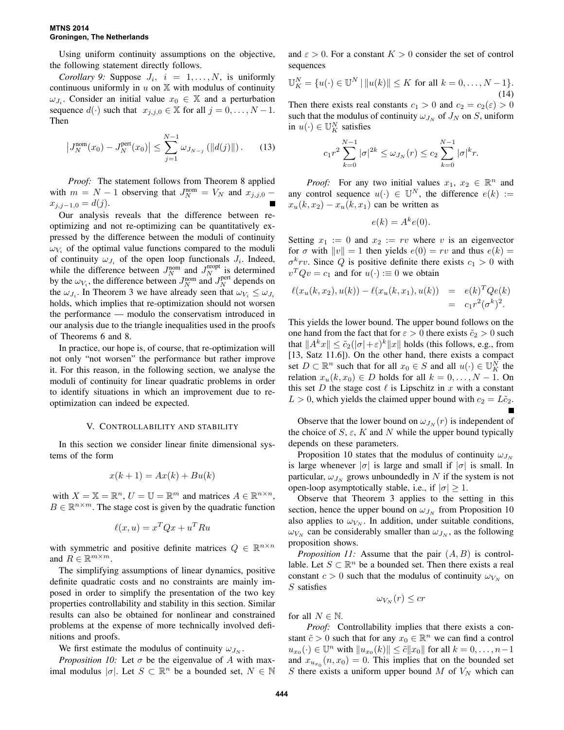### **MTNS 2014 Groningen, The Netherlands**

Using uniform continuity assumptions on the objective, the following statement directly follows.

*Corollary 9:* Suppose  $J_i$ ,  $i = 1, ..., N$ , is uniformly continuous uniformly in  $u$  on  $X$  with modulus of continuity  $\omega_{J_i}$ . Consider an initial value  $x_0 \in \mathbb{X}$  and a perturbation sequence  $d(\cdot)$  such that  $x_{j,i,0} \in \mathbb{X}$  for all  $j = 0, \ldots, N-1$ . Then

$$
\left|J_N^{\text{nom}}(x_0) - J_N^{\text{pert}}(x_0)\right| \le \sum_{j=1}^{N-1} \omega_{J_{N-j}}\left(\|d(j)\|\right). \tag{13}
$$

*Proof:* The statement follows from Theorem 8 applied with  $m = N - 1$  observing that  $J_N^{\text{nom}} = V_N$  and  $x_{j,j,0}$  –  $x_{i,i-1,0} = d(j).$ 

Our analysis reveals that the difference between reoptimizing and not re-optimizing can be quantitatively expressed by the difference between the moduli of continuity  $\omega_{V_i}$  of the optimal value functions compared to the moduli of continuity  $\omega_{J_i}$  of the open loop functionals  $J_i$ . Indeed, while the difference between  $J_N^{\text{nom}}$  and  $J_N^{\text{reopt}}$  is determined by the  $\omega_{V_i}$ , the difference between  $J_N^{\text{nom}}$  and  $J_N^{\text{pert}}$  depends on the  $\omega_{J_i}$ . In Theorem 3 we have already seen that  $\omega_{V_i} \leq \omega_{J_i}$ holds, which implies that re-optimization should not worsen the performance — modulo the conservatism introduced in our analysis due to the triangle inequalities used in the proofs of Theorems 6 and 8.

In practice, our hope is, of course, that re-optimization will not only "not worsen" the performance but rather improve it. For this reason, in the following section, we analyse the moduli of continuity for linear quadratic problems in order to identify situations in which an improvement due to reoptimization can indeed be expected.

#### V. CONTROLLABILITY AND STABILITY

In this section we consider linear finite dimensional systems of the form

$$
x(k+1) = Ax(k) + Bu(k)
$$

with  $X = \mathbb{X} = \mathbb{R}^n$ ,  $U = \mathbb{U} = \mathbb{R}^m$  and matrices  $A \in \mathbb{R}^{n \times n}$ ,  $B \in \mathbb{R}^{n \times m}$ . The stage cost is given by the quadratic function

$$
\ell(x, u) = x^T Q x + u^T R u
$$

with symmetric and positive definite matrices  $Q \in \mathbb{R}^{n \times n}$ and  $R \in \mathbb{R}^{m \times m}$ .

The simplifying assumptions of linear dynamics, positive definite quadratic costs and no constraints are mainly imposed in order to simplify the presentation of the two key properties controllability and stability in this section. Similar results can also be obtained for nonlinear and constrained problems at the expense of more technically involved definitions and proofs.

We first estimate the modulus of continuity  $\omega_{J_N}$ .

*Proposition 10:* Let  $\sigma$  be the eigenvalue of A with maximal modulus  $|\sigma|$ . Let  $S \subset \mathbb{R}^n$  be a bounded set,  $N \in \mathbb{N}$ 

and  $\varepsilon > 0$ . For a constant  $K > 0$  consider the set of control sequences

$$
\mathbb{U}_K^N = \{ u(\cdot) \in \mathbb{U}^N \mid ||u(k)|| \le K \text{ for all } k = 0, \dots, N - 1 \}.
$$
\n(14)

Then there exists real constants  $c_1 > 0$  and  $c_2 = c_2(\varepsilon) > 0$ such that the modulus of continuity  $\omega_{J_N}$  of  $J_N$  on S, uniform in  $u(\cdot) \in \mathbb{U}_K^N$  satisfies

$$
c_1 r^2 \sum_{k=0}^{N-1} |\sigma|^{2k} \le \omega_{J_N}(r) \le c_2 \sum_{k=0}^{N-1} |\sigma|^k r.
$$

*Proof:* For any two initial values  $x_1, x_2 \in \mathbb{R}^n$  and any control sequence  $u(\cdot) \in \mathbb{U}^N$ , the difference  $e(k) :=$  $x_u(k, x_2) - x_u(k, x_1)$  can be written as

$$
e(k) = A^k e(0).
$$

Setting  $x_1 := 0$  and  $x_2 := rv$  where v is an eigenvector for  $\sigma$  with  $||v|| = 1$  then yields  $e(0) = rv$  and thus  $e(k) =$  $\sigma^k r v$ . Since Q is positive definite there exists  $c_1 > 0$  with  $v^T Q v = c_1$  and for  $u(\cdot) := 0$  we obtain

$$
\ell(x_u(k, x_2), u(k)) - \ell(x_u(k, x_1), u(k)) = e(k)^T Q e(k)
$$
  
=  $c_1 r^2 (\sigma^k)^2$ .

This yields the lower bound. The upper bound follows on the one hand from the fact that for  $\varepsilon > 0$  there exists  $\tilde{c}_2 > 0$  such that  $||A^kx|| \le \tilde{c}_2(|\sigma|+\varepsilon)^k ||x||$  holds (this follows, e.g., from [13, Satz 11.6]). On the other hand, there exists a compact set  $D \subset \mathbb{R}^n$  such that for all  $x_0 \in S$  and all  $u(\cdot) \in \mathbb{U}_K^N$  the relation  $x_u(k, x_0) \in D$  holds for all  $k = 0, \ldots, N - 1$ . On this set D the stage cost  $\ell$  is Lipschitz in x with a constant  $L > 0$ , which yields the claimed upper bound with  $c_2 = L\tilde{c}_2$ .

Observe that the lower bound on  $\omega_{J_N}(r)$  is independent of the choice of  $S$ ,  $\varepsilon$ ,  $K$  and  $N$  while the upper bound typically depends on these parameters.

Proposition 10 states that the modulus of continuity  $\omega_{J_N}$ is large whenever  $|\sigma|$  is large and small if  $|\sigma|$  is small. In particular,  $\omega_{J_N}$  grows unboundedly in N if the system is not open-loop asymptotically stable, i.e., if  $|\sigma| \geq 1$ .

Observe that Theorem 3 applies to the setting in this section, hence the upper bound on  $\omega_{J_N}$  from Proposition 10 also applies to  $\omega_{V_N}$ . In addition, under suitable conditions,  $\omega_{V_N}$  can be considerably smaller than  $\omega_{J_N}$ , as the following proposition shows.

*Proposition 11:* Assume that the pair  $(A, B)$  is controllable. Let  $S \subset \mathbb{R}^n$  be a bounded set. Then there exists a real constant  $c > 0$  such that the modulus of continuity  $\omega_{V_N}$  on  $S$  satisfies

$$
\omega_{V_N}(r) \leq cr
$$

for all  $N \in \mathbb{N}$ .

*Proof:* Controllability implies that there exists a constant  $\tilde{c} > 0$  such that for any  $x_0 \in \mathbb{R}^n$  we can find a control  $u_{x_0}(\cdot) \in \mathbb{U}^n$  with  $||u_{x_0}(k)|| \leq \tilde{c}||x_0||$  for all  $k = 0, \ldots, n-1$ and  $x_{u_{x_0}}(n, x_0) = 0$ . This implies that on the bounded set S there exists a uniform upper bound  $M$  of  $V_N$  which can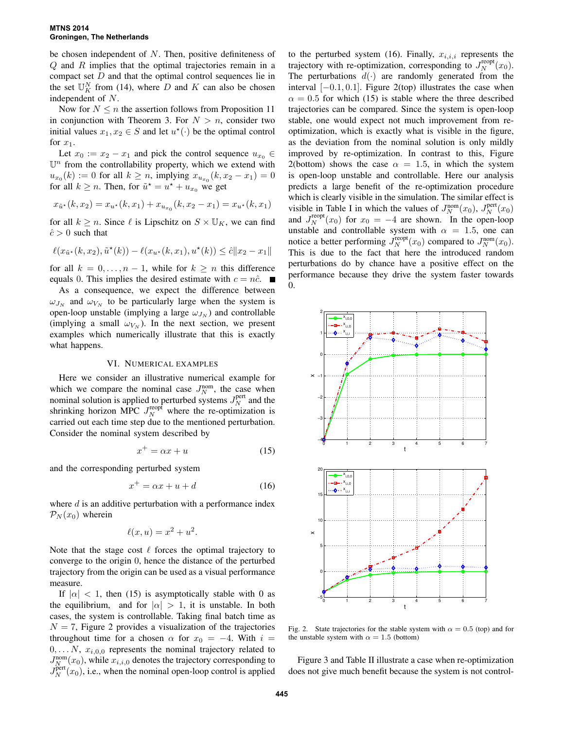#### **MTNS 2014 Groningen, The Netherlands**

be chosen independent of  $N$ . Then, positive definiteness of Q and R implies that the optimal trajectories remain in a compact set D and that the optimal control sequences lie in the set  $\mathbb{U}_K^N$  from (14), where D and K can also be chosen independent of N.

Now for  $N \leq n$  the assertion follows from Proposition 11 in conjunction with Theorem 3. For  $N > n$ , consider two initial values  $x_1, x_2 \in S$  and let  $u^*(\cdot)$  be the optimal control for  $x_1$ .

Let  $x_0 := x_2 - x_1$  and pick the control sequence  $u_{x_0} \in$  $\mathbb{U}^n$  from the controllability property, which we extend with  $u_{x_0}(k) := 0$  for all  $k \ge n$ , implying  $x_{u_{x_0}}(k, x_2 - x_1) = 0$ for all  $k \ge n$ . Then, for  $\tilde{u}^* = u^* + u_{x_0}$  we get

$$
x_{\tilde{u}^*}(k, x_2) = x_{u^*}(k, x_1) + x_{u_{x_0}}(k, x_2 - x_1) = x_{u^*}(k, x_1)
$$

for all  $k \ge n$ . Since  $\ell$  is Lipschitz on  $S \times \mathbb{U}_K$ , we can find  $\hat{c} > 0$  such that

$$
\ell(x_{\tilde{u}^*}(k, x_2), \tilde{u}^*(k)) - \ell(x_{u^*}(k, x_1), u^*(k)) \leq \hat{c} \|x_2 - x_1\|
$$

for all  $k = 0, \ldots, n - 1$ , while for  $k \geq n$  this difference equals 0. This implies the desired estimate with  $c = n\hat{c}$ .

As a consequence, we expect the difference between  $\omega_{J_N}$  and  $\omega_{V_N}$  to be particularly large when the system is open-loop unstable (implying a large  $\omega_{J_N}$ ) and controllable (implying a small  $\omega_{V_N}$ ). In the next section, we present examples which numerically illustrate that this is exactly what happens.

# VI. NUMERICAL EXAMPLES

Here we consider an illustrative numerical example for which we compare the nominal case  $J_N^{\text{nom}}$ , the case when nominal solution is applied to perturbed systems  $J_N^{\text{pert}}$  and the shrinking horizon MPC  $J_N^{\text{reopf}}$  where the re-optimization is carried out each time step due to the mentioned perturbation. Consider the nominal system described by

$$
x^+ = \alpha x + u \tag{15}
$$

and the corresponding perturbed system

$$
x^+ = \alpha x + u + d \tag{16}
$$

where  $d$  is an additive perturbation with a performance index  $\mathcal{P}_N(x_0)$  wherein

$$
\ell(x, u) = x^2 + u^2.
$$

Note that the stage cost  $\ell$  forces the optimal trajectory to converge to the origin 0, hence the distance of the perturbed trajectory from the origin can be used as a visual performance measure.

If  $|\alpha|$  < 1, then (15) is asymptotically stable with 0 as the equilibrium, and for  $|\alpha| > 1$ , it is unstable. In both cases, the system is controllable. Taking final batch time as  $N = 7$ , Figure 2 provides a visualization of the trajectories throughout time for a chosen  $\alpha$  for  $x_0 = -4$ . With  $i =$  $0, \ldots N$ ,  $x_{i,0,0}$  represents the nominal trajectory related to  $J_{N_{\text{A}}}^{\text{nom}}(x_0)$ , while  $x_{i,i,0}$  denotes the trajectory corresponding to  $J_N^{\text{pert}}(x_0)$ , i.e., when the nominal open-loop control is applied

to the perturbed system (16). Finally,  $x_{i,i,i}$  represents the trajectory with re-optimization, corresponding to  $J_N^{\text{reopt}}(x_0)$ . The perturbations  $d(\cdot)$  are randomly generated from the interval  $[-0.1, 0.1]$ . Figure 2(top) illustrates the case when  $\alpha = 0.5$  for which (15) is stable where the three described trajectories can be compared. Since the system is open-loop stable, one would expect not much improvement from reoptimization, which is exactly what is visible in the figure, as the deviation from the nominal solution is only mildly improved by re-optimization. In contrast to this, Figure 2(bottom) shows the case  $\alpha = 1.5$ , in which the system is open-loop unstable and controllable. Here our analysis predicts a large benefit of the re-optimization procedure which is clearly visible in the simulation. The similar effect is visible in Table I in which the values of  $J_N^{\text{nom}}(x_0)$ ,  $J_N^{\text{pert}}(x_0)$ and  $J_N^{\text{reopt}}(x_0)$  for  $x_0 = -4$  are shown. In the open-loop unstable and controllable system with  $\alpha = 1.5$ , one can notice a better performing  $J_N^{\text{reopt}}(x_0)$  compared to  $J_N^{\text{nom}}(x_0)$ . This is due to the fact that here the introduced random perturbations do by chance have a positive effect on the performance because they drive the system faster towards 0.



Fig. 2. State trajectories for the stable system with  $\alpha = 0.5$  (top) and for the unstable system with  $\alpha = 1.5$  (bottom)

Figure 3 and Table II illustrate a case when re-optimization does not give much benefit because the system is not control-